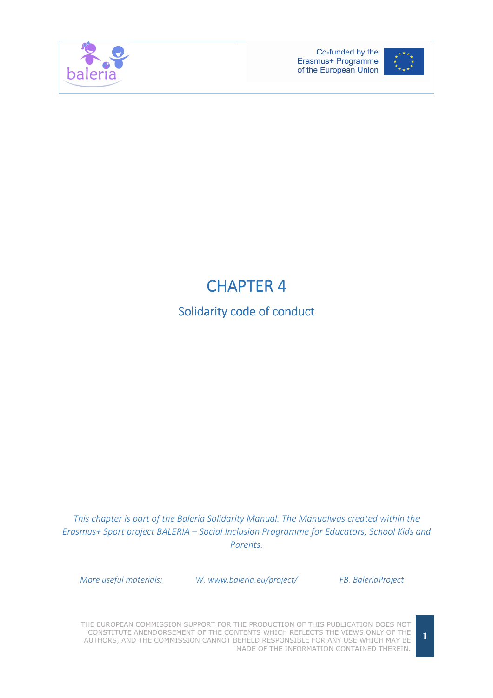



# **CHAPTER 4**

# Solidarity code of conduct

This chapter is part of the Baleria Solidarity Manual. The Manualwas created within the Erasmus+ Sport project BALERIA – Social Inclusion Programme for Educators, School Kids and Parents.

More useful materials: W. www.baleria.eu/project/ FB. BaleriaProject

THE EUROPEAN COMMISSION SUPPORT FOR THE PRODUCTION OF THIS PUBLICATION DOES NOT CONSTITUTE ANENDORSEMENT OF THE CONTENTS WHICH REFLECTS THE VIEWS ONLY OF THE AUTHORS, AND THE COMMISSION CANNOT BEHELD RESPONSIBLE FOR ANY USE WHICH MAY BE MADE OF THE INFORMATION CONTAINED THEREIN.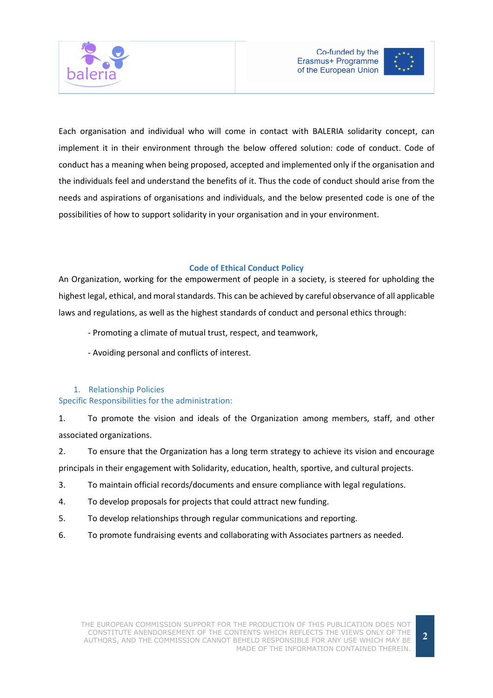



Each organisation and individual who will come in contact with BALERIA solidarity concept, can implement it in their environment through the below offered solution: code of conduct. Code of conduct has a meaning when being proposed, accepted and implemented only if the organisation and the individuals feel and understand the benefits of it. Thus the code of conduct should arise from the needs and aspirations of organisations and individuals, and the below presented code is one of the possibilities of how to support solidarity in your organisation and in your environment.

# Code of Ethical Conduct Policy

An Organization, working for the empowerment of people in a society, is steered for upholding the highest legal, ethical, and moral standards. This can be achieved by careful observance of all applicable laws and regulations, as well as the highest standards of conduct and personal ethics through:

- Promoting a climate of mutual trust, respect, and teamwork,
- Avoiding personal and conflicts of interest.

#### 1. Relationship Policies Specific Responsibilities for the administration:

1. To promote the vision and ideals of the Organization among members, staff, and other associated organizations.

2. To ensure that the Organization has a long term strategy to achieve its vision and encourage principals in their engagement with Solidarity, education, health, sportive, and cultural projects.

- 3. To maintain official records/documents and ensure compliance with legal regulations.
- 4. To develop proposals for projects that could attract new funding.
- 5. To develop relationships through regular communications and reporting.
- 6. To promote fundraising events and collaborating with Associates partners as needed.